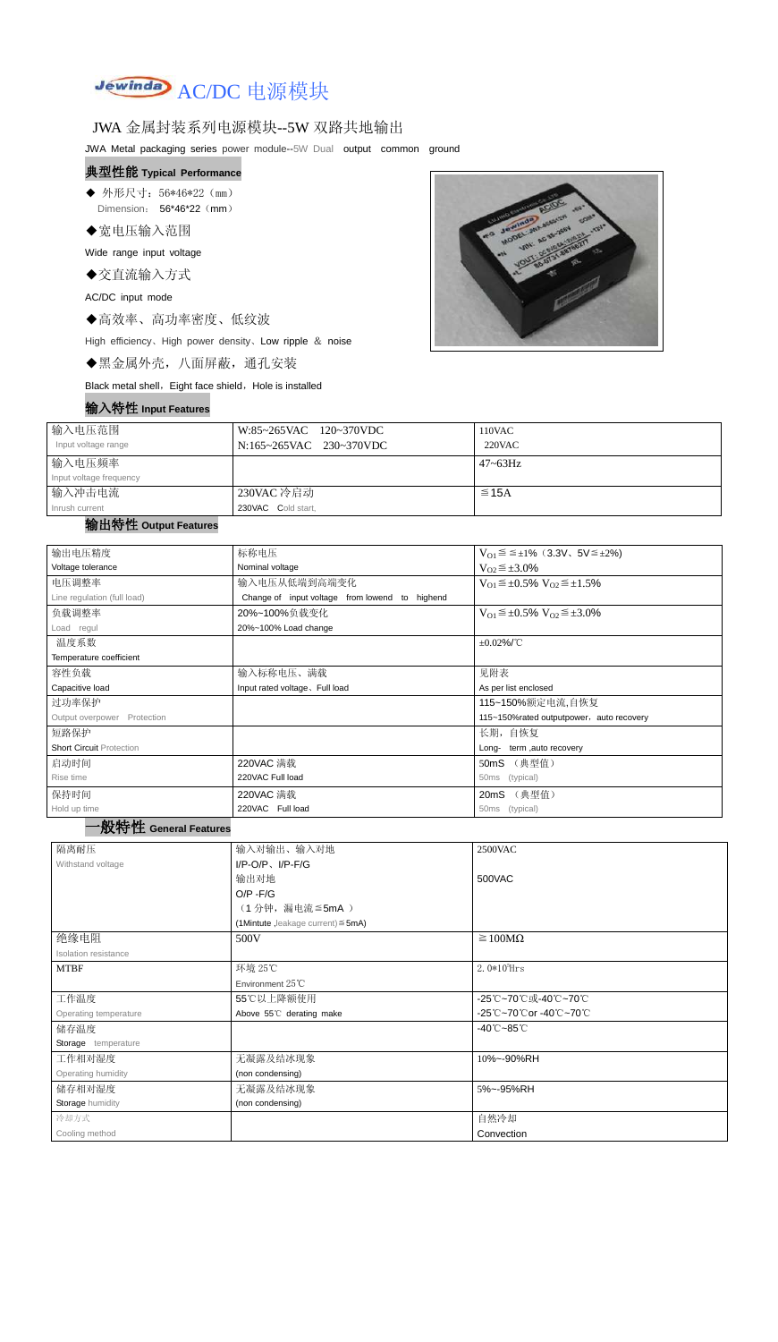

### JWA 金属封装系列电源模块--5W 双路共地输出

JWA Metal packaging series power module--5W Dual output common ground

# 典型性能 **Typical Performance**

◆ 外形尺寸: 56\*46\*22 (mm) Dimension: 56\*46\*22 (mm)

◆宽电压输入范围

Wide range input voltage

◆交直流输入方式

AC/DC input mode

◆高效率、高功率密度、低纹波

High efficiency、High power density、Low ripple & noise

◆黑金属外壳,八面屏蔽,通孔安装

Black metal shell, Eight face shield, Hole is installed

#### 输入特性 **Input Features**



| 输入电压范围<br>Input voltage range     | W:85~265VAC 120~370VDC<br>N:165~265VAC 230~370VDC | 110VAC<br>$220$ VAC |
|-----------------------------------|---------------------------------------------------|---------------------|
| 输入电压频率<br>Input voltage frequency |                                                   | $47 - 63$ Hz        |
| 输入冲击电流<br>Inrush current          | 230VAC 冷启动<br>230VAC Cold start,                  | $\leq$ 15A          |

#### 输出特性 **Output Features**

#### 一般特性 **General Features**

| 输出电压精度                          | 标称电压                                           | $V_{01} \le \le \pm 1\%$ (3.3V, 5V $\le \pm 2\%$ )    |  |  |  |
|---------------------------------|------------------------------------------------|-------------------------------------------------------|--|--|--|
| Voltage tolerance               | Nominal voltage                                | $V_{O2} \leq \pm 3.0\%$                               |  |  |  |
| 电压调整率                           | 输入电压从低端到高端变化                                   | $V_{O1} \leq \pm 0.5\% \text{ V}_{O2} \leq \pm 1.5\%$ |  |  |  |
| Line regulation (full load)     | Change of input voltage from lowend to highend |                                                       |  |  |  |
| 负载调整率                           | 20%~100%负载变化                                   | $V_{O1} \leq \pm 0.5\% \text{ V}_{O2} \leq \pm 3.0\%$ |  |  |  |
| Load regul                      | 20%~100% Load change                           |                                                       |  |  |  |
| 温度系数                            |                                                | $\pm 0.02\%$ /°C                                      |  |  |  |
| Temperature coefficient         |                                                |                                                       |  |  |  |
| 容性负载                            | 输入标称电压、满载                                      | 见附表                                                   |  |  |  |
| Capacitive load                 | Input rated voltage. Full load                 | As per list enclosed                                  |  |  |  |
| 过功率保护                           |                                                | 115~150%额定电流,自恢复                                      |  |  |  |
| Output overpower Protection     | 115~150% rated outputpower, auto recovery      |                                                       |  |  |  |
| 短路保护                            | 长期,自恢复                                         |                                                       |  |  |  |
| <b>Short Circuit Protection</b> |                                                | term, auto recovery<br>Long-                          |  |  |  |
| 启动时间                            | 220VAC 满载                                      | (典型值)<br>50 <sub>m</sub> S                            |  |  |  |
| Rise time                       | 220VAC Full load                               | (typical)<br>50ms                                     |  |  |  |
| 保持时间                            | 220VAC 满载                                      | (典型值)<br>20mS                                         |  |  |  |
| Hold up time                    | 220VAC Full load                               | (typical)<br>50ms                                     |  |  |  |
| An del title                    |                                                |                                                       |  |  |  |

| 隔离耐压                    | 输入对输出、输入对地                              | <b>2500VAC</b>                  |  |  |
|-------------------------|-----------------------------------------|---------------------------------|--|--|
| Withstand voltage       | $I/P$ -O/P, $I/P$ -F/G                  |                                 |  |  |
|                         | 输出对地                                    | 500VAC                          |  |  |
|                         | $O/P - F/G$                             |                                 |  |  |
|                         | (1分钟,漏电流≦5mA)                           |                                 |  |  |
|                         | (1Mintute, leakage current) $\leq$ 5mA) |                                 |  |  |
| 绝缘电阻                    | 500V                                    | $\geq 100M\Omega$               |  |  |
| Isolation resistance    |                                         |                                 |  |  |
| <b>MTBF</b>             | 环境 25℃                                  | 2. $0*10^5$ Hrs                 |  |  |
|                         | Environment $25^{\circ}$ C              |                                 |  |  |
| 工作温度                    | 55℃以上降额使用                               | -25℃~70℃或-40℃~70℃               |  |  |
| Operating temperature   | Above 55°C derating make                | -25℃~70℃or -40℃~70℃             |  |  |
| 储存温度                    |                                         | $-40^{\circ}$ C $-85^{\circ}$ C |  |  |
| Storage temperature     |                                         |                                 |  |  |
| 工作相对湿度                  | 无凝露及结冰现象                                | 10%~-90%RH                      |  |  |
| Operating humidity      | (non condensing)                        |                                 |  |  |
| 储存相对湿度                  | 无凝露及结冰现象                                | 5%~-95%RH                       |  |  |
| <b>Storage humidity</b> | (non condensing)                        |                                 |  |  |
| 冷却方式                    |                                         | 自然冷却                            |  |  |
| Cooling method          |                                         | Convection                      |  |  |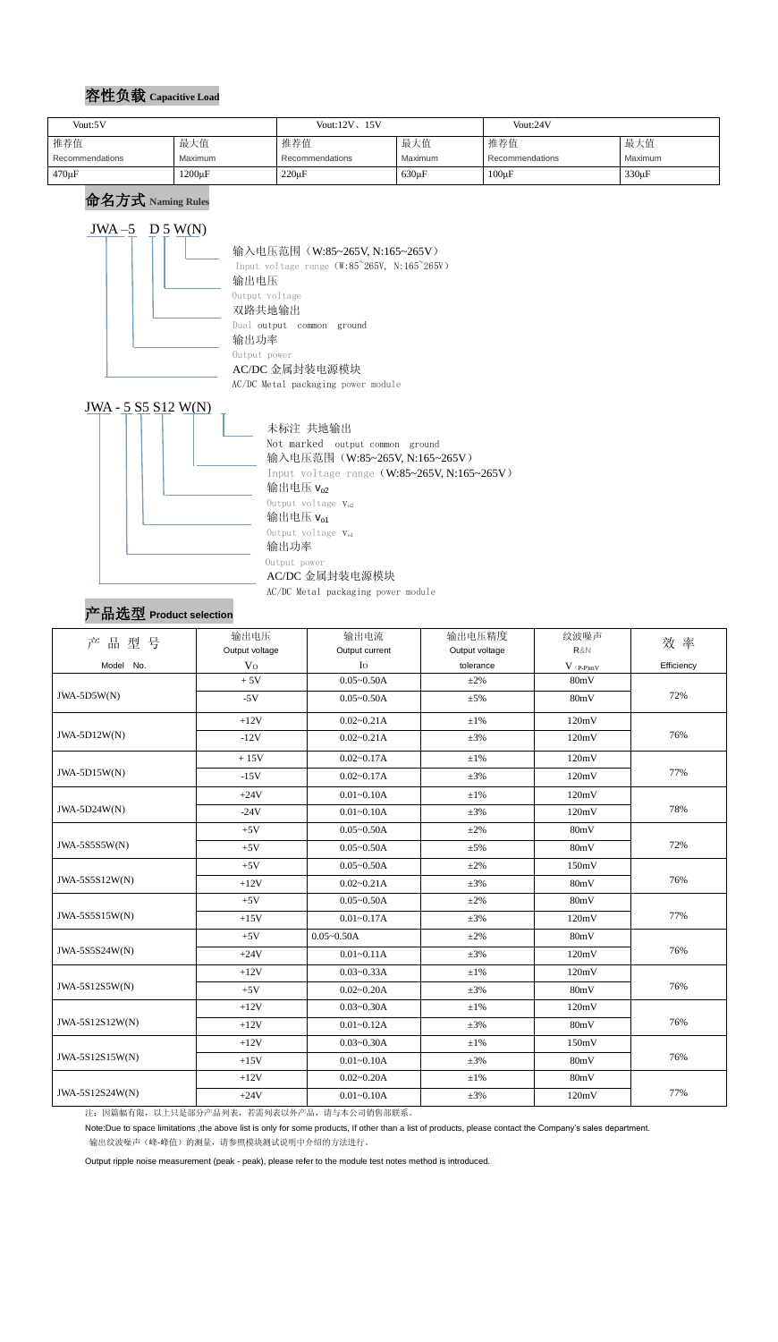### 容性负载 **Capacitive Load**

### 命名方式 **Naming Rules**





Not marked output common ground 输入电压范围(W:85~265V, N:165~265V) Input voltage range(W:85~265V, N:165~265V) 输出电压 $v_{02}$ Output voltage  $V_{o2}$ 输出电压 $v_{01}$ Output voltage  $V_{ol}$  Output power AC/DC 金属封装电源模块

AC/DC Metal packaging power module

# 产品选型 **Product selection**

| 产品型号            | 输出电压           | 输出电流           | 输出电压精度         | 纹波噪声                          | 效率         |  |
|-----------------|----------------|----------------|----------------|-------------------------------|------------|--|
|                 | Output voltage | Output current | Output voltage | R&N                           |            |  |
| Model No.       | V <sub>O</sub> | $I_{\rm O}$    | tolerance      | $V$ $\mathrm{(p\text{-}p)mV}$ | Efficiency |  |
|                 | $+5V$          | $0.05 - 0.50A$ | $\pm 2\%$      | 80mV                          |            |  |
| JWA-5D5W(N)     | $-5V$          | $0.05 - 0.50A$ | $\pm 5\%$      | 80mV                          | 72%        |  |
|                 | $+12V$         | $0.02 - 0.21A$ | $\pm 1\%$      | 120mV                         |            |  |
| $JWA-5D12W(N)$  | $-12V$         | $0.02 - 0.21A$ | $\pm 3\%$      | 120mV                         | 76%        |  |
|                 | $+15V$         | $0.02 - 0.17A$ | $\pm 1\%$      | 120mV                         |            |  |
| $JWA-5D15W(N)$  | $-15V$         | $0.02 - 0.17A$ | $\pm 3\%$      | 120mV                         | 77%        |  |
|                 | $+24V$         | $0.01 - 0.10A$ | $\pm 1\%$      | 120mV                         |            |  |
| JWA-5D24W(N)    | $-24V$         | $0.01 - 0.10A$ | $\pm 3\%$      | 120mV                         | 78%        |  |
|                 | $+5V$          | $0.05 - 0.50A$ | $\pm 2\%$      | 80mV                          |            |  |
| JWA-5S5S5W(N)   | $+5V$          | $0.05 - 0.50A$ | $\pm$ 5%       | 80mV                          | 72%        |  |
|                 | $+5V$          | $0.05 - 0.50A$ | $\pm 2\%$      | 150mV                         |            |  |
| JWA-5S5S12W(N)  | $+12V$         | $0.02 - 0.21A$ | $\pm 3\%$      | 80mV                          | 76%        |  |
|                 | $+5V$          | $0.05 - 0.50A$ | $\pm 2\%$      | 80mV                          |            |  |
| JWA-5S5S15W(N)  | $+15V$         | $0.01 - 0.17A$ | $\pm 3\%$      | 120mV                         | 77%        |  |
|                 | $+5V$          | $0.05 - 0.50A$ | $\pm 2\%$      | 80mV                          |            |  |
| JWA-5S5S24W(N)  | $+24V$         | $0.01 - 0.11A$ | $\pm 3\%$      | 120mV                         | 76%        |  |
|                 | $+12V$         | $0.03 - 0.33A$ | $\pm 1\%$      | 120mV                         |            |  |
| JWA-5S12S5W(N)  | $+5V$          | $0.02 - 0.20A$ | $\pm 3\%$      | 80mV                          | 76%        |  |
|                 | $+12V$         | $0.03 - 0.30A$ | $\pm 1\%$      | 120mV                         |            |  |
| JWA-5S12S12W(N) | $+12V$         | $0.01 - 0.12A$ | $\pm 3\%$      | 80mV                          | 76%        |  |
|                 | $+12V$         | $0.03 - 0.30A$ | $\pm 1\%$      | 150mV                         |            |  |
| JWA-5S12S15W(N) | $+15V$         | $0.01 - 0.10A$ | $\pm 3\%$      | 80mV                          | 76%        |  |
|                 | $+12V$         | $0.02 - 0.20A$ | $\pm 1\%$      | 80mV                          |            |  |
| JWA-5S12S24W(N) | $+24V$         | $0.01 - 0.10A$ | $\pm 3\%$      | 120mV                         | 77%        |  |

注:因篇幅有限,以上只是部分产品列表,若需列表以外产品,请与本公司销售部联系。

Note:Due to space limitations ,the above list is only for some products, If other than a list of products, please contact the Company's sales department.

输出纹波噪声(峰-峰值)的测量,请参照模块测试说明中介绍的方法进行。

Output ripple noise measurement (peak - peak), please refer to the module test notes method is introduced.

| Vout:5V         |              | Vout: $12V$ , $15V$ |             | Vout:24V        |            |
|-----------------|--------------|---------------------|-------------|-----------------|------------|
| 推荐值             | 最大值          | 推荐值                 | 最大值         | 推荐值             | 最大值        |
| Recommendations | Maximum      | Recommendations     | Maximum     | Recommendations | Maximum    |
| $470 \mu F$     | $1200 \mu F$ | $220 \mu F$         | $630 \mu F$ | $100\mu F$      | $330\mu F$ |